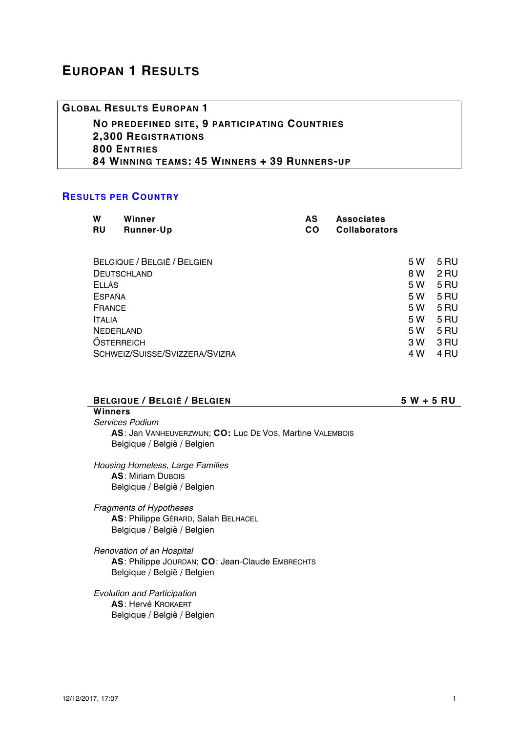# **EUROPAN 1 RESULTS**

**GLOBAL RESULTS EUROPAN 1 NO PREDEFINED SITE, 9 PARTICIPATING COUNTRIES 2,300 REGISTRATIONS 800 ENTRIES 84 WINNING TEAMS: 45 WINNERS + 39 RUNNERS-UP**

## **RESULTS PER COUNTRY**

| W<br><b>RU</b>                 | Winner<br>Runner-Up | AS<br><b>CO</b> | <b>Associates</b><br><b>Collaborators</b> |      |      |
|--------------------------------|---------------------|-----------------|-------------------------------------------|------|------|
| BELGIQUE / BELGIË / BELGIEN    |                     | 5 W             | 5 RU                                      |      |      |
| <b>DEUTSCHLAND</b>             |                     |                 | 8 W                                       | 2 RU |      |
| ELLÁS                          |                     |                 |                                           | 5 W  | 5 RU |
| <b>ESPAÑA</b>                  |                     |                 |                                           | 5 W  | 5 RU |
| FRANCE                         |                     |                 |                                           | 5 W  | 5 RU |
| <b>ITALIA</b>                  |                     |                 | 5 W                                       | 5 RU |      |
| NEDERLAND                      |                     |                 | 5 W                                       | 5 RU |      |
| <b>OSTERREICH</b>              |                     |                 | 3 W                                       | 3 RU |      |
| SCHWEIZ/SUISSE/SVIZZERA/SVIZRA |                     |                 |                                           | 4 W  | 4 RU |

| BELGIQUE / BELGIË / BELGIEN                               | $5 W + 5 R U$ |
|-----------------------------------------------------------|---------------|
| Winners                                                   |               |
| Services Podium                                           |               |
| AS: Jan VANHEUVERZWIJN; CO: Luc DE VOS, Martine VALEMBOIS |               |

*Housing Homeless, Large Families* **AS**: Miriam DUBOIS Belgique / België / Belgien

Belgique / België / Belgien

- *Fragments of Hypotheses* **AS**: Philippe GÉRARD, Salah BELHACEL Belgique / België / Belgien
- *Renovation of an Hospital* **AS**: Philippe JOURDAN; **CO**: Jean-Claude EMBRECHTS Belgique / België / Belgien
- *Evolution and Participation* **AS**: Hervé KROKAERT Belgique / België / Belgien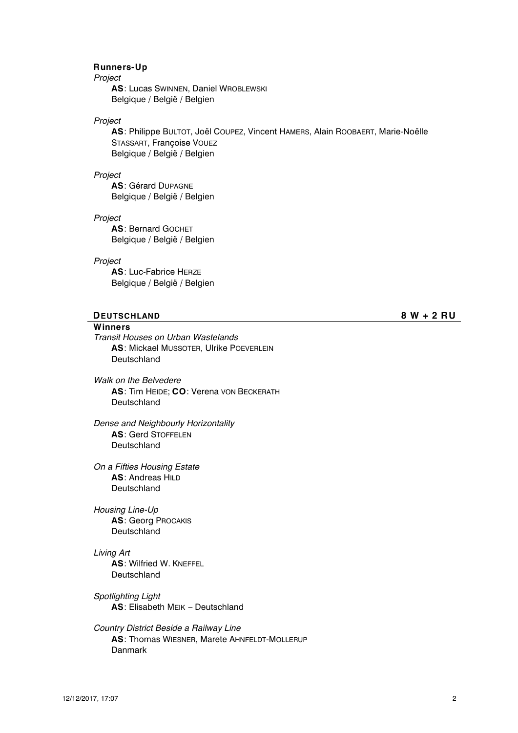## **Runners-Up**

*Project*

**AS**: Lucas SWINNEN, Daniel WROBLEWSKI Belgique / België / Belgien

## *Project*

**AS**: Philippe BULTOT, Joël COUPEZ, Vincent HAMERS, Alain ROOBAERT, Marie-Noëlle STASSART, Françoise VOUEZ Belgique / België / Belgien

#### *Project*

**AS**: Gérard DUPAGNE Belgique / België / Belgien

#### *Project*

**AS**: Bernard GOCHET Belgique / België / Belgien

#### *Project*

**AS**: Luc-Fabrice HERZE Belgique / België / Belgien

## **DEUTSCHLAND 8 W + 2 RU**

### **Winners**

*Transit Houses on Urban Wastelands* **AS**: Mickael MUSSOTER, Ulrike POEVERLEIN Deutschland

*Walk on the Belvedere* **AS**: Tim HEIDE; **CO**: Verena VON BECKERATH Deutschland

*Dense and Neighbourly Horizontality* **AS**: Gerd STOFFELEN **Deutschland** 

*On a Fifties Housing Estate* **AS**: Andreas HILD Deutschland

*Housing Line-Up* **AS**: Georg PROCAKIS Deutschland

#### *Living Art*

**AS**: Wilfried W. KNEFFEL **Deutschland** 

*Spotlighting Light* **AS**: Elisabeth MEIK – Deutschland

*Country District Beside a Railway Line* **AS**: Thomas WIESNER, Marete AHNFELDT-MOLLERUP Danmark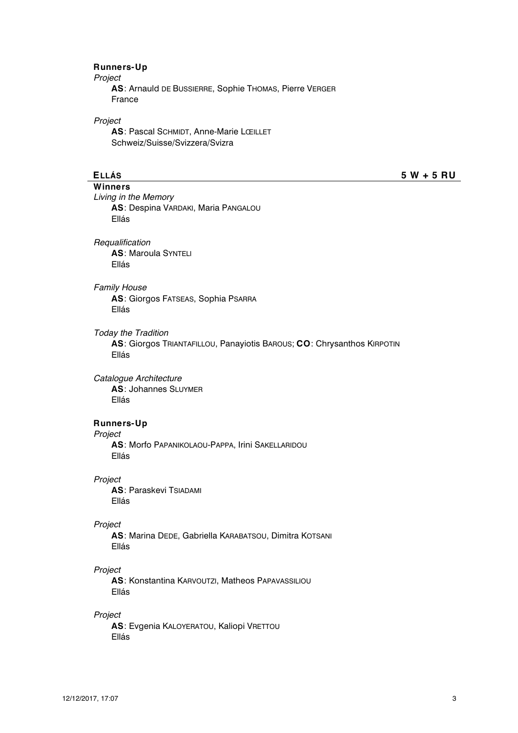## **Runners-Up**

*Project*

**AS**: Arnauld DE BUSSIERRE, Sophie THOMAS, Pierre VERGER France

#### *Project*

**AS**: Pascal SCHMIDT, Anne-Marie LŒILLET Schweiz/Suisse/Svizzera/Svizra

**ELLÁS 5 W + 5 RU**

**Winners** *Living in the Memory* **AS**: Despina VARDAKI, Maria PANGALOU Ellás

*Requalification* **AS**: Maroula SYNTELI Ellás

#### *Family House*

**AS**: Giorgos FATSEAS, Sophia PSARRA Ellás

*Today the Tradition*

**AS**: Giorgos TRIANTAFILLOU, Panayiotis BAROUS; **CO**: Chrysanthos KIRPOTIN Ellás

*Catalogue Architecture* **AS**: Johannes SLUYMER Ellás

## **Runners-Up**

*Project*

**AS**: Morfo PAPANIKOLAOU-PAPPA, Irini SAKELLARIDOU Ellás

#### *Project*

**AS**: Paraskevi TSIADAMI Ellás

#### *Project*

**AS**: Marina DEDE, Gabriella KARABATSOU, Dimitra KOTSANI Ellás

#### *Project*

**AS**: Konstantina KARVOUTZI, Matheos PAPAVASSILIOU Ellás

## *Project*

**AS**: Evgenia KALOYERATOU, Kaliopi VRETTOU Ellás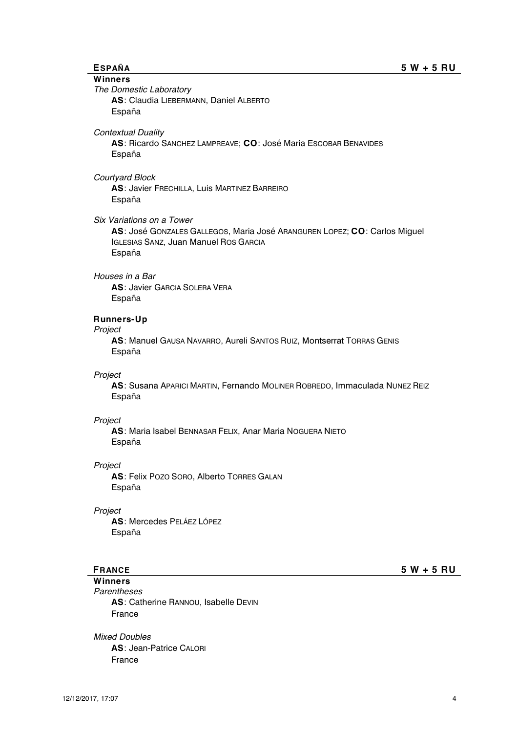**Winners** *The Domestic Laboratory* **AS**: Claudia LIEBERMANN, Daniel ALBERTO España *Contextual Duality* **AS**: Ricardo SANCHEZ LAMPREAVE; **CO**: José Maria ESCOBAR BENAVIDES España *Courtyard Block* **AS**: Javier FRECHILLA, Luis MARTINEZ BARREIRO España *Six Variations on a Tower* **AS**: José GONZALES GALLEGOS, Maria José ARANGUREN LOPEZ; **CO**: Carlos Miguel IGLESIAS SANZ, Juan Manuel ROS GARCIA España *Houses in a Bar* **AS**: Javier GARCIA SOLERA VERA España **Runners-Up** *Project* **AS**: Manuel GAUSA NAVARRO, Aureli SANTOS RUIZ, Montserrat TORRAS GENIS España *Project* **AS**: Susana APARICI MARTIN, Fernando MOLINER ROBREDO, Immaculada NUNEZ REIZ España *Project* **AS**: Maria Isabel BENNASAR FELIX, Anar Maria NOGUERA NIETO España *Project* **AS**: Felix POZO SORO, Alberto TORRES GALAN España *Project* **AS**: Mercedes PELÁEZ LÓPEZ España **FRANCE 5 W + 5 RU Winners** *Parentheses* **AS**: Catherine RANNOU, Isabelle DEVIN France *Mixed Doubles* **AS**: Jean-Patrice CALORI France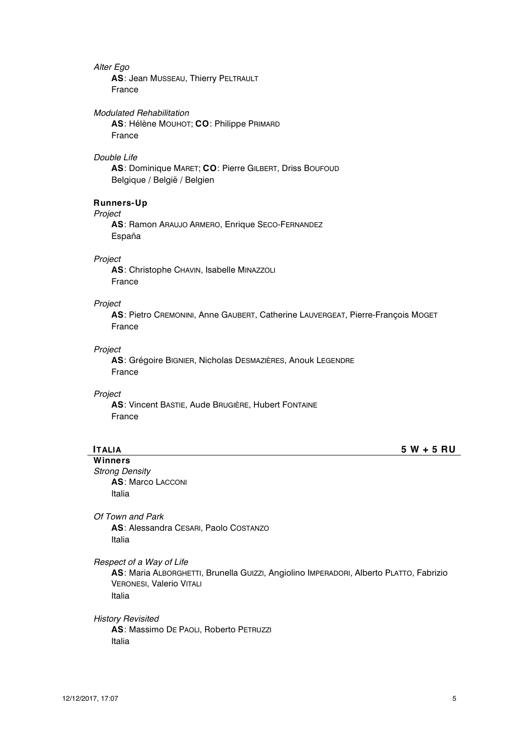#### *Alter Ego*

**AS**: Jean MUSSEAU, Thierry PELTRAULT France

*Modulated Rehabilitation*

**AS**: Hélène MOUHOT; **CO**: Philippe PRIMARD France

#### *Double Life*

**AS**: Dominique MARET; **CO**: Pierre GILBERT, Driss BOUFOUD Belgique / België / Belgien

## **Runners-Up**

#### *Project*

**AS**: Ramon ARAUJO ARMERO, Enrique SECO-FERNANDEZ España

#### *Project*

**AS**: Christophe CHAVIN, Isabelle MINAZZOLI France

#### *Project*

**AS**: Pietro CREMONINI, Anne GAUBERT, Catherine LAUVERGEAT, Pierre-François MOGET France

#### *Project*

**AS**: Grégoire BIGNIER, Nicholas DESMAZIÈRES, Anouk LEGENDRE France

#### *Project*

**AS**: Vincent BASTIE, Aude BRUGIÈRE, Hubert FONTAINE France

**ITALIA 5 W + 5 RU**

**Winners** *Strong Density* **AS**: Marco LACCONI Italia

*Of Town and Park* **AS**: Alessandra CESARI, Paolo COSTANZO Italia

*Respect of a Way of Life*

**AS**: Maria ALBORGHETTI, Brunella GUIZZI, Angiolino IMPERADORI, Alberto PLATTO, Fabrizio VERONESI, Valerio VITALI Italia

#### *History Revisited*

**AS**: Massimo DE PAOLI, Roberto PETRUZZI Italia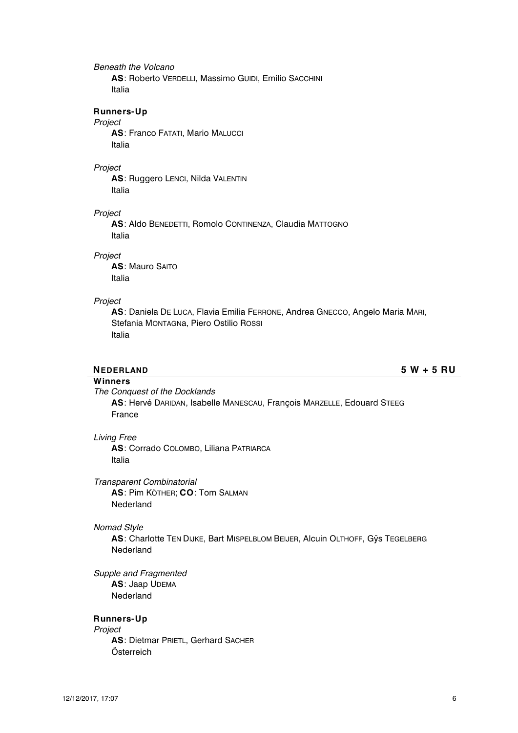## *Beneath the Volcano*

**AS**: Roberto VERDELLI, Massimo GUIDI, Emilio SACCHINI Italia

## **Runners-Up**

#### *Project*

**AS**: Franco FATATI, Mario MALUCCI Italia

### *Project*

**AS**: Ruggero LENCI, Nilda VALENTIN Italia

#### *Project*

**AS**: Aldo BENEDETTI, Romolo CONTINENZA, Claudia MATTOGNO Italia

## *Project*

**AS**: Mauro SAITO Italia

## *Project*

**AS**: Daniela DE LUCA, Flavia Emilia FERRONE, Andrea GNECCO, Angelo Maria MARI, Stefania MONTAGNa, Piero Ostilio ROSSI Italia

**NEDERLAND 5 W + 5 RU**

# **Winners**

*The Conquest of the Docklands* **AS**: Hervé DARIDAN, Isabelle MANESCAU, François MARZELLE, Edouard STEEG France

#### *Living Free*

**AS**: Corrado COLOMBO, Liliana PATRIARCA Italia

### *Transparent Combinatorial*

**AS**: Pim KÖTHER; **CO**: Tom SALMAN Nederland

#### *Nomad Style*

**AS**: Charlotte TEN DIJKE, Bart MISPELBLOM BEIJER, Alcuin OLTHOFF, Gÿs TEGELBERG Nederland

*Supple and Fragmented* **AS**: Jaap UDEMA Nederland

#### **Runners-Up**

*Project* **AS**: Dietmar PRIETL, Gerhard SACHER Österreich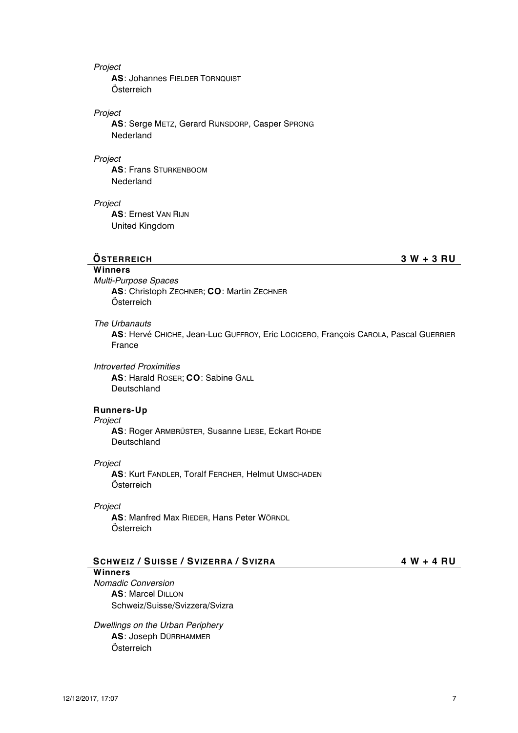#### *Project*

**AS**: Johannes FIELDER TORNQUIST Österreich

### *Project*

**AS**: Serge METZ, Gerard RIJNSDORP, Casper SPRONG Nederland

#### *Project*

**AS**: Frans STURKENBOOM Nederland

# *Project*

**AS**: Ernest VAN RIJN United Kingdom

## **ÖSTERREICH 3 W + 3 RU**

# **Winners**

*Multi-Purpose Spaces* **AS**: Christoph ZECHNER; **CO**: Martin ZECHNER Österreich

## *The Urbanauts*

**AS**: Hervé CHICHE, Jean-Luc GUFFROY, Eric LOCICERO, François CAROLA, Pascal GUERRIER France

## *Introverted Proximities*

**AS**: Harald ROSER; **CO**: Sabine GALL Deutschland

## **Runners-Up**

## *Project*

**AS**: Roger ARMBRÜSTER, Susanne LIESE, Eckart ROHDE Deutschland

#### *Project*

**AS**: Kurt FANDLER, Toralf FERCHER, Helmut UMSCHADEN Österreich

### *Project*

**AS**: Manfred Max RIEDER, Hans Peter WÖRNDL Österreich

## **SCHWEIZ / SUISSE / SVIZERRA / SVIZRA 4 W + 4 RU**

**Winners** *Nomadic Conversion* **AS**: Marcel DILLON Schweiz/Suisse/Svizzera/Svizra

*Dwellings on the Urban Periphery* **AS**: Joseph DÜRRHAMMER Österreich